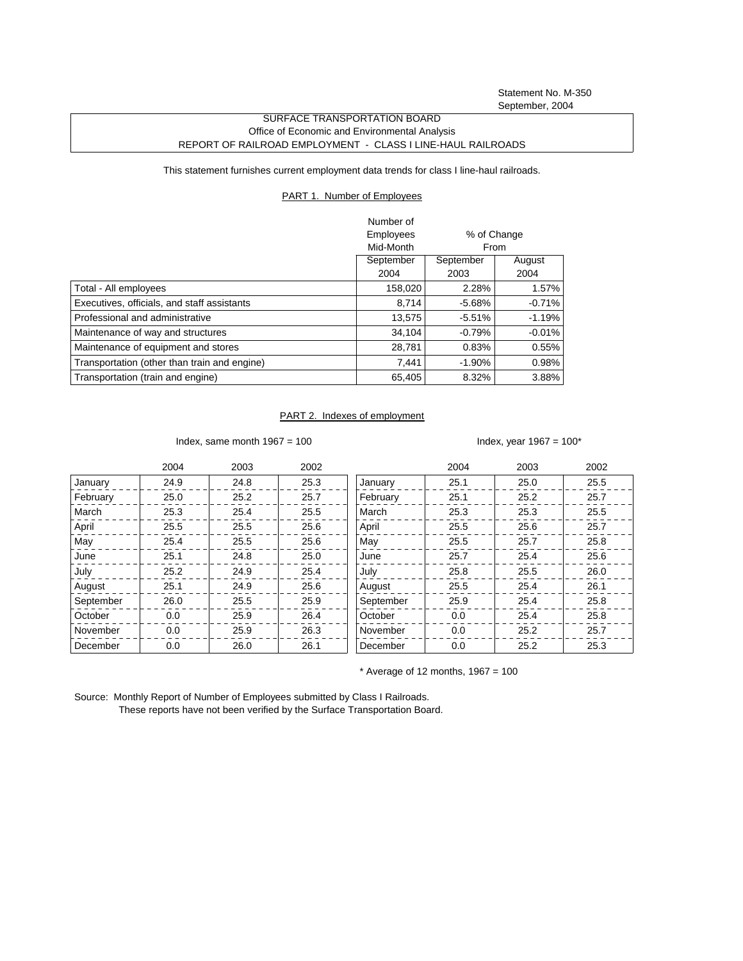Statement No. M-350 September, 2004

## SURFACE TRANSPORTATION BOARD Office of Economic and Environmental Analysis REPORT OF RAILROAD EMPLOYMENT - CLASS I LINE-HAUL RAILROADS

This statement furnishes current employment data trends for class I line-haul railroads.

## PART 1. Number of Employees

|                                              | Number of |             |           |
|----------------------------------------------|-----------|-------------|-----------|
|                                              | Employees | % of Change |           |
|                                              | Mid-Month | From        |           |
|                                              | September | September   | August    |
|                                              | 2004      | 2003        | 2004      |
| Total - All employees                        | 158,020   | 2.28%       | 1.57%     |
| Executives, officials, and staff assistants  | 8.714     | $-5.68\%$   | $-0.71%$  |
| Professional and administrative              | 13.575    | $-5.51%$    | $-1.19%$  |
| Maintenance of way and structures            | 34.104    | $-0.79%$    | $-0.01\%$ |
| Maintenance of equipment and stores          | 28,781    | 0.83%       | $0.55\%$  |
| Transportation (other than train and engine) | 7.441     | $-1.90%$    | 0.98%     |
| Transportation (train and engine)            | 65,405    | 8.32%       | 3.88%     |

## PART 2. Indexes of employment

Index, same month  $1967 = 100$  Index, year  $1967 = 100^*$ 

|           | 2004 | 2003 | 2002 |           | 2004 | 2003 | 2002 |
|-----------|------|------|------|-----------|------|------|------|
| January   | 24.9 | 24.8 | 25.3 | January   | 25.1 | 25.0 | 25.5 |
| February  | 25.0 | 25.2 | 25.7 | February  | 25.1 | 25.2 | 25.7 |
| March     | 25.3 | 25.4 | 25.5 | March     | 25.3 | 25.3 | 25.5 |
| April     | 25.5 | 25.5 | 25.6 | April     | 25.5 | 25.6 | 25.7 |
| May       | 25.4 | 25.5 | 25.6 | May       | 25.5 | 25.7 | 25.8 |
| June      | 25.1 | 24.8 | 25.0 | June      | 25.7 | 25.4 | 25.6 |
| July      | 25.2 | 24.9 | 25.4 | July      | 25.8 | 25.5 | 26.0 |
| August    | 25.1 | 24.9 | 25.6 | August    | 25.5 | 25.4 | 26.1 |
| September | 26.0 | 25.5 | 25.9 | September | 25.9 | 25.4 | 25.8 |
| October   | 0.0  | 25.9 | 26.4 | October   | 0.0  | 25.4 | 25.8 |
| November  | 0.0  | 25.9 | 26.3 | November  | 0.0  | 25.2 | 25.7 |
| December  | 0.0  | 26.0 | 26.1 | December  | 0.0  | 25.2 | 25.3 |

 $*$  Average of 12 months, 1967 = 100

Source: Monthly Report of Number of Employees submitted by Class I Railroads. These reports have not been verified by the Surface Transportation Board.